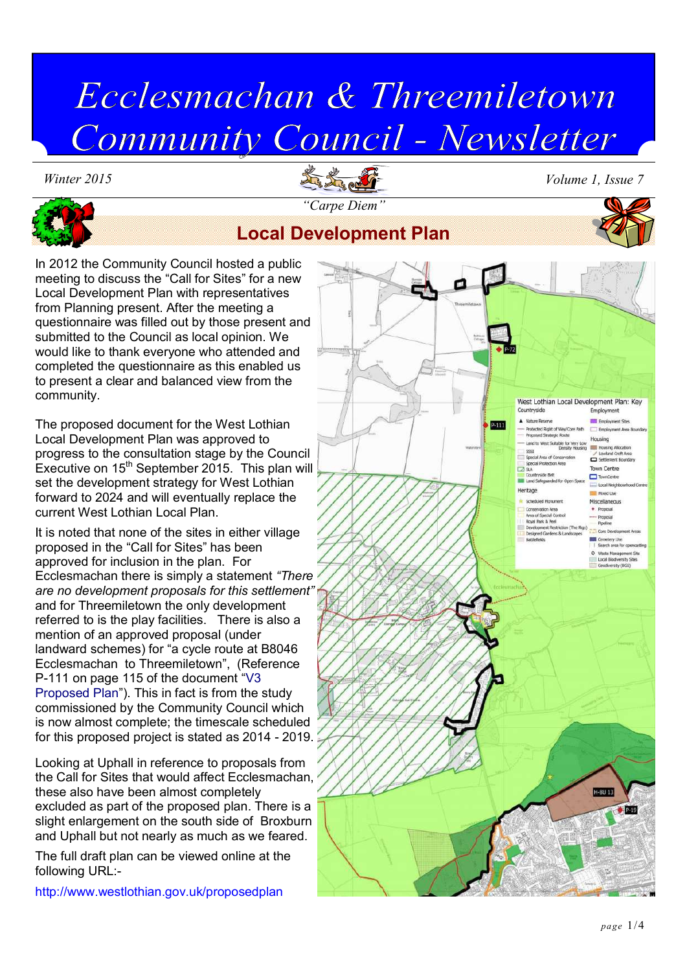# Ecclesmachan & Threemiletown Community Council - Newsletter





*Winter 2015 Volume 1, Issue 7*

# **Local Development Plan**

In 2012 the Community Council hosted a public meeting to discuss the "Call for Sites" for a new Local Development Plan with representatives from Planning present. After the meeting a questionnaire was filled out by those present and submitted to the Council as local opinion. We would like to thank everyone who attended and completed the questionnaire as this enabled us to present a clear and balanced view from the community.

The proposed document for the West Lothian Local Development Plan was approved to progress to the consultation stage by the Council Executive on  $15<sup>th</sup>$  September 2015. This plan will set the development strategy for West Lothian forward to 2024 and will eventually replace the current West Lothian Local Plan.

It is noted that none of the sites in either village proposed in the "Call for Sites" has been approved for inclusion in the plan. For Ecclesmachan there is simply a statement *"There are no development proposals for this settlement"*  and for Threemiletown the only development referred to is the play facilities. There is also a mention of an approved proposal (under landward schemes) for "a cycle route at B8046 Ecclesmachan to Threemiletown", (Reference P-111 on page 115 of the document "V3 Proposed Plan"). This in fact is from the study commissioned by the Community Council which is now almost complete; the timescale scheduled for this proposed project is stated as 2014 - 2019.

Looking at Uphall in reference to proposals from the Call for Sites that would affect Ecclesmachan, these also have been almost completely excluded as part of the proposed plan. There is a slight enlargement on the south side of Broxburn and Uphall but not nearly as much as we feared.

The full draft plan can be viewed online at the following URL:-

http://www.westlothian.gov.uk/proposedplan

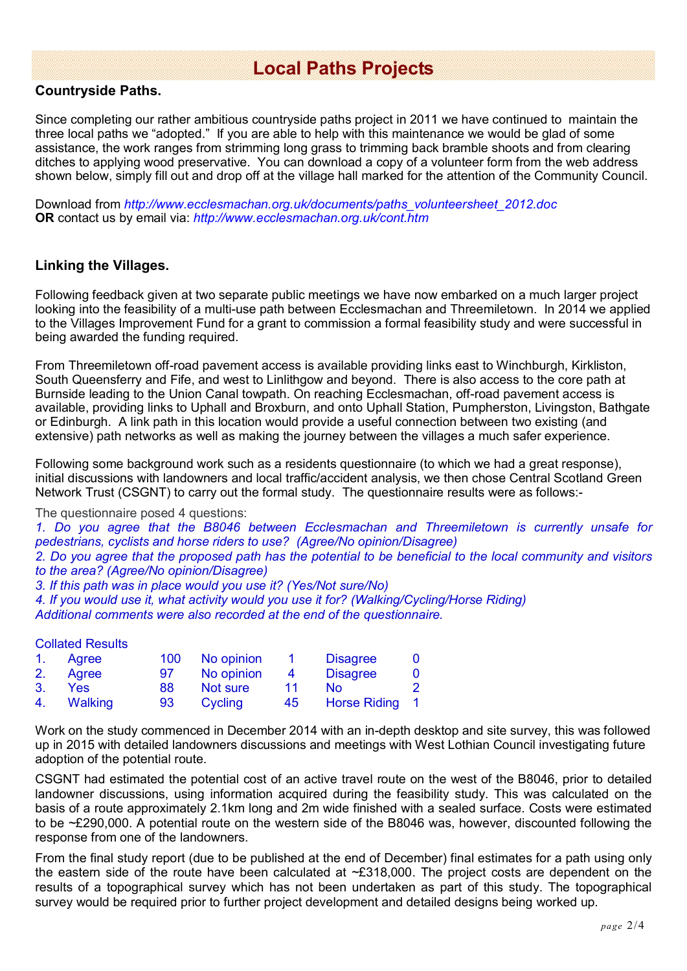# **Local Paths Projects**

#### **Countryside Paths.**

Since completing our rather ambitious countryside paths project in 2011 we have continued to maintain the three local paths we "adopted." If you are able to help with this maintenance we would be glad of some assistance, the work ranges from strimming long grass to trimming back bramble shoots and from clearing ditches to applying wood preservative. You can download a copy of a volunteer form from the web address shown below, simply fill out and drop off at the village hall marked for the attention of the Community Council.

Download from *http://www.ecclesmachan.org.uk/documents/paths\_volunteersheet\_2012.doc*  **OR** contact us by email via: *http://www.ecclesmachan.org.uk/cont.htm*

#### **Linking the Villages.**

Following feedback given at two separate public meetings we have now embarked on a much larger project looking into the feasibility of a multi-use path between Ecclesmachan and Threemiletown. In 2014 we applied to the Villages Improvement Fund for a grant to commission a formal feasibility study and were successful in being awarded the funding required.

From Threemiletown off-road pavement access is available providing links east to Winchburgh, Kirkliston, South Queensferry and Fife, and west to Linlithgow and beyond. There is also access to the core path at Burnside leading to the Union Canal towpath. On reaching Ecclesmachan, off-road pavement access is available, providing links to Uphall and Broxburn, and onto Uphall Station, Pumpherston, Livingston, Bathgate or Edinburgh. A link path in this location would provide a useful connection between two existing (and extensive) path networks as well as making the journey between the villages a much safer experience.

Following some background work such as a residents questionnaire (to which we had a great response), initial discussions with landowners and local traffic/accident analysis, we then chose Central Scotland Green Network Trust (CSGNT) to carry out the formal study. The questionnaire results were as follows:-

The questionnaire posed 4 questions:

*1. Do you agree that the B8046 between Ecclesmachan and Threemiletown is currently unsafe for pedestrians, cyclists and horse riders to use? (Agree/No opinion/Disagree)*

*2. Do you agree that the proposed path has the potential to be beneficial to the local community and visitors to the area? (Agree/No opinion/Disagree)*

*3. If this path was in place would you use it? (Yes/Not sure/No)*

*4. If you would use it, what activity would you use it for? (Walking/Cycling/Horse Riding)*

*Additional comments were also recorded at the end of the questionnaire.*

#### Collated Results

|         | 1. Agree   |    | 100 No opinion |                | <b>Disagree</b> | 0 |
|---------|------------|----|----------------|----------------|-----------------|---|
|         | 2. Agree   | 97 | No opinion     | $\overline{4}$ | <b>Disagree</b> | 0 |
| $3_{-}$ | <b>Yes</b> | 88 | Not sure       | 11             | Nο              | 2 |
|         | 4. Walking | 93 | Cycling        | 45             | Horse Riding 1  |   |

Work on the study commenced in December 2014 with an in-depth desktop and site survey, this was followed up in 2015 with detailed landowners discussions and meetings with West Lothian Council investigating future adoption of the potential route.

CSGNT had estimated the potential cost of an active travel route on the west of the B8046, prior to detailed landowner discussions, using information acquired during the feasibility study. This was calculated on the basis of a route approximately 2.1km long and 2m wide finished with a sealed surface. Costs were estimated to be ~£290,000. A potential route on the western side of the B8046 was, however, discounted following the response from one of the landowners.

From the final study report (due to be published at the end of December) final estimates for a path using only the eastern side of the route have been calculated at  $\sim$ £318,000. The project costs are dependent on the results of a topographical survey which has not been undertaken as part of this study. The topographical survey would be required prior to further project development and detailed designs being worked up.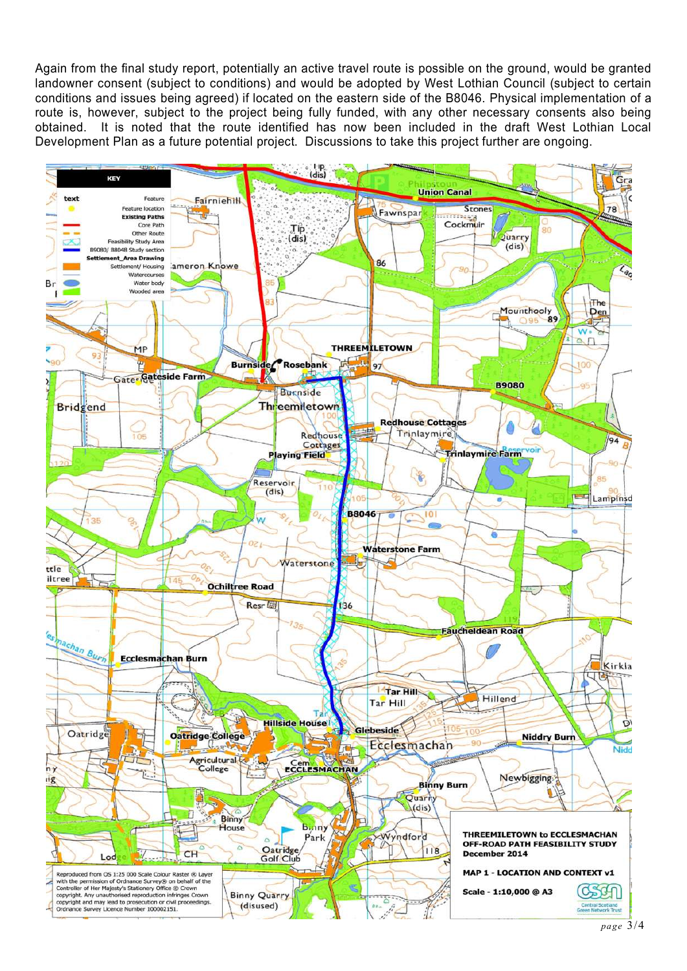Again from the final study report, potentially an active travel route is possible on the ground, would be granted landowner consent (subject to conditions) and would be adopted by West Lothian Council (subject to certain conditions and issues being agreed) if located on the eastern side of the B8046. Physical implementation of a route is, however, subject to the project being fully funded, with any other necessary consents also being obtained. It is noted that the route identified has now been included in the draft West Lothian Local Development Plan as a future potential project. Discussions to take this project further are ongoing.